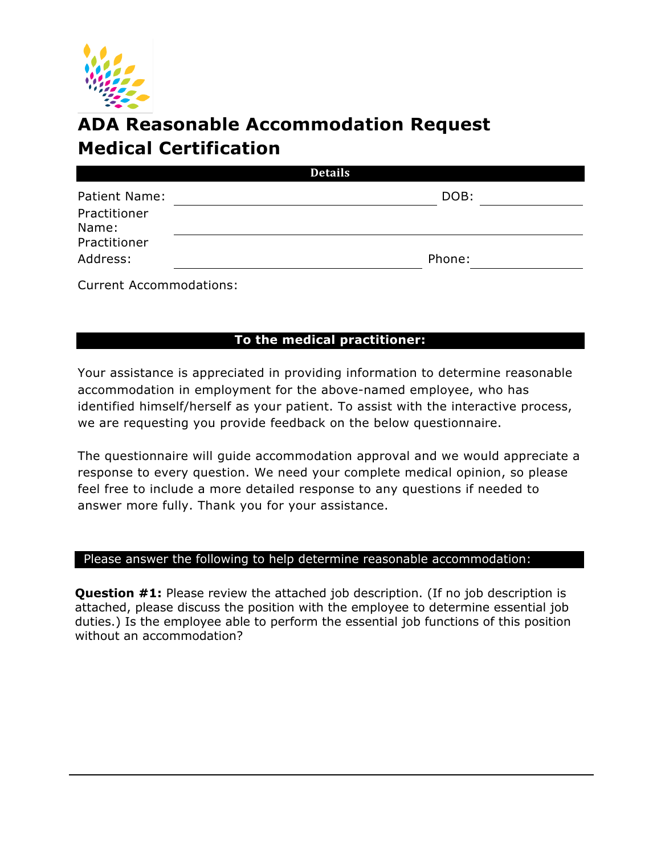

## **ADA Reasonable Accommodation Request Medical Certification**

| <b>Details</b>            |        |
|---------------------------|--------|
| Patient Name:             | DOB:   |
| Practitioner<br>Name:     |        |
| Practitioner<br>Address:  | Phone: |
| $\sim$ $\sim$ $\sim$<br>. |        |

Current Accommodations:

## **To the medical practitioner:**

Your assistance is appreciated in providing information to determine reasonable accommodation in employment for the above-named employee, who has identified himself/herself as your patient. To assist with the interactive process, we are requesting you provide feedback on the below questionnaire.

The questionnaire will guide accommodation approval and we would appreciate a response to every question. We need your complete medical opinion, so please feel free to include a more detailed response to any questions if needed to answer more fully. Thank you for your assistance.

## Please answer the following to help determine reasonable accommodation:

**Question #1:** Please review the attached job description. (If no job description is attached, please discuss the position with the employee to determine essential job duties.) Is the employee able to perform the essential job functions of this position without an accommodation?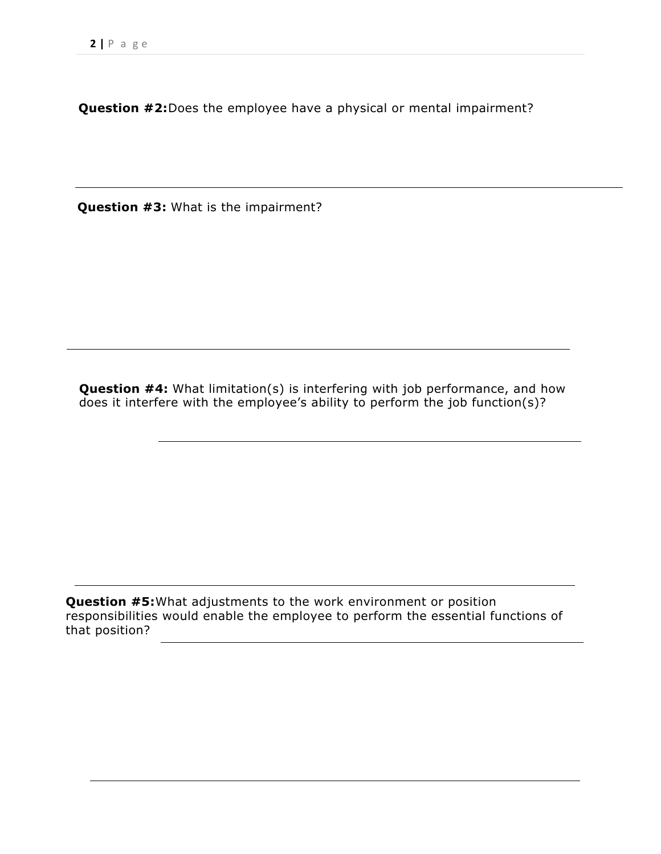**Question #2:**Does the employee have a physical or mental impairment?

**Question #3:** What is the impairment?

**Question #4:** What limitation(s) is interfering with job performance, and how does it interfere with the employee's ability to perform the job function(s)?

**Question #5:** What adjustments to the work environment or position responsibilities would enable the employee to perform the essential functions of that position?